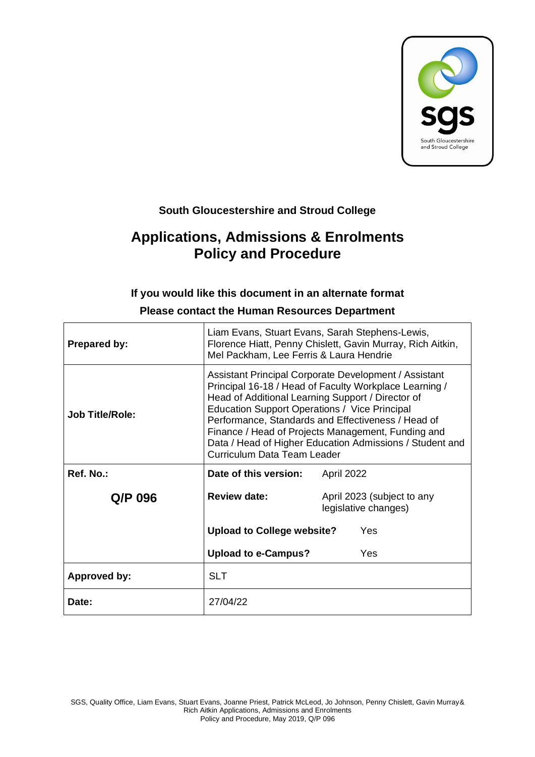

# **South Gloucestershire and Stroud College**

# **Applications, Admissions & Enrolments Policy and Procedure**

#### **If you would like this document in an alternate format**

| <b>Prepared by:</b>    | Liam Evans, Stuart Evans, Sarah Stephens-Lewis,<br>Florence Hiatt, Penny Chislett, Gavin Murray, Rich Aitkin,<br>Mel Packham, Lee Ferris & Laura Hendrie                                                                                                                                                                                                                                                                            |                                                    |  |
|------------------------|-------------------------------------------------------------------------------------------------------------------------------------------------------------------------------------------------------------------------------------------------------------------------------------------------------------------------------------------------------------------------------------------------------------------------------------|----------------------------------------------------|--|
| <b>Job Title/Role:</b> | Assistant Principal Corporate Development / Assistant<br>Principal 16-18 / Head of Faculty Workplace Learning /<br>Head of Additional Learning Support / Director of<br>Education Support Operations / Vice Principal<br>Performance, Standards and Effectiveness / Head of<br>Finance / Head of Projects Management, Funding and<br>Data / Head of Higher Education Admissions / Student and<br><b>Curriculum Data Team Leader</b> |                                                    |  |
| Ref. No.:              | Date of this version:                                                                                                                                                                                                                                                                                                                                                                                                               | April 2022                                         |  |
| Q/P 096                | <b>Review date:</b>                                                                                                                                                                                                                                                                                                                                                                                                                 | April 2023 (subject to any<br>legislative changes) |  |
|                        | <b>Upload to College website?</b>                                                                                                                                                                                                                                                                                                                                                                                                   | Yes                                                |  |
|                        | <b>Upload to e-Campus?</b>                                                                                                                                                                                                                                                                                                                                                                                                          | Yes                                                |  |
| Approved by:           | <b>SLT</b>                                                                                                                                                                                                                                                                                                                                                                                                                          |                                                    |  |
| Date:                  | 27/04/22                                                                                                                                                                                                                                                                                                                                                                                                                            |                                                    |  |

#### **Please contact the Human Resources Department**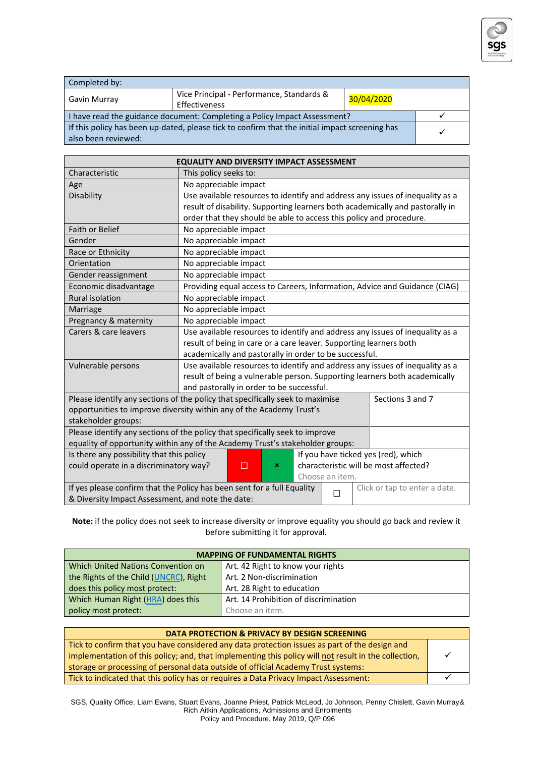

| Completed by:                                                                                  |                                           |            |  |
|------------------------------------------------------------------------------------------------|-------------------------------------------|------------|--|
| Gavin Murray                                                                                   | Vice Principal - Performance, Standards & | 30/04/2020 |  |
|                                                                                                | Effectiveness                             |            |  |
| I have read the guidance document: Completing a Policy Impact Assessment?                      |                                           |            |  |
| If this policy has been up-dated, please tick to confirm that the initial impact screening has |                                           |            |  |
| also been reviewed:                                                                            |                                           |            |  |

| <b>EQUALITY AND DIVERSITY IMPACT ASSESSMENT</b>                                                                    |                                                                                                   |  |  |  |
|--------------------------------------------------------------------------------------------------------------------|---------------------------------------------------------------------------------------------------|--|--|--|
| Characteristic                                                                                                     | This policy seeks to:                                                                             |  |  |  |
| Age                                                                                                                | No appreciable impact                                                                             |  |  |  |
| Disability                                                                                                         | Use available resources to identify and address any issues of inequality as a                     |  |  |  |
|                                                                                                                    | result of disability. Supporting learners both academically and pastorally in                     |  |  |  |
|                                                                                                                    | order that they should be able to access this policy and procedure.                               |  |  |  |
| <b>Faith or Belief</b>                                                                                             | No appreciable impact                                                                             |  |  |  |
| Gender                                                                                                             | No appreciable impact                                                                             |  |  |  |
| Race or Ethnicity                                                                                                  | No appreciable impact                                                                             |  |  |  |
| Orientation                                                                                                        | No appreciable impact                                                                             |  |  |  |
| Gender reassignment                                                                                                | No appreciable impact                                                                             |  |  |  |
| Economic disadvantage                                                                                              | Providing equal access to Careers, Information, Advice and Guidance (CIAG)                        |  |  |  |
| <b>Rural isolation</b>                                                                                             | No appreciable impact                                                                             |  |  |  |
| Marriage                                                                                                           | No appreciable impact                                                                             |  |  |  |
| Pregnancy & maternity                                                                                              | No appreciable impact                                                                             |  |  |  |
| Carers & care leavers                                                                                              | Use available resources to identify and address any issues of inequality as a                     |  |  |  |
|                                                                                                                    | result of being in care or a care leaver. Supporting learners both                                |  |  |  |
|                                                                                                                    | academically and pastorally in order to be successful.                                            |  |  |  |
| Vulnerable persons                                                                                                 | Use available resources to identify and address any issues of inequality as a                     |  |  |  |
|                                                                                                                    | result of being a vulnerable person. Supporting learners both academically                        |  |  |  |
|                                                                                                                    | and pastorally in order to be successful.                                                         |  |  |  |
|                                                                                                                    | Please identify any sections of the policy that specifically seek to maximise<br>Sections 3 and 7 |  |  |  |
|                                                                                                                    | opportunities to improve diversity within any of the Academy Trust's                              |  |  |  |
| stakeholder groups:                                                                                                |                                                                                                   |  |  |  |
| Please identify any sections of the policy that specifically seek to improve                                       |                                                                                                   |  |  |  |
| equality of opportunity within any of the Academy Trust's stakeholder groups:                                      |                                                                                                   |  |  |  |
|                                                                                                                    | Is there any possibility that this policy<br>If you have ticked yes (red), which                  |  |  |  |
| characteristic will be most affected?<br>could operate in a discriminatory way?<br>$\Box$<br>×                     |                                                                                                   |  |  |  |
| Choose an item.                                                                                                    |                                                                                                   |  |  |  |
| If yes please confirm that the Policy has been sent for a full Equality<br>Click or tap to enter a date.<br>$\Box$ |                                                                                                   |  |  |  |
| & Diversity Impact Assessment, and note the date:                                                                  |                                                                                                   |  |  |  |

**Note:** if the policy does not seek to increase diversity or improve equality you should go back and review it before submitting it for approval.

| <b>MAPPING OF FUNDAMENTAL RIGHTS</b>   |                                       |  |  |
|----------------------------------------|---------------------------------------|--|--|
| Which United Nations Convention on     | Art. 42 Right to know your rights     |  |  |
| the Rights of the Child (UNCRC), Right | Art. 2 Non-discrimination             |  |  |
| does this policy most protect:         | Art. 28 Right to education            |  |  |
| Which Human Right (HRA) does this      | Art. 14 Prohibition of discrimination |  |  |
| policy most protect:                   | Choose an item.                       |  |  |

| DATA PROTECTION & PRIVACY BY DESIGN SCREENING                                                        |  |  |
|------------------------------------------------------------------------------------------------------|--|--|
| Tick to confirm that you have considered any data protection issues as part of the design and        |  |  |
| implementation of this policy; and, that implementing this policy will not result in the collection, |  |  |
| storage or processing of personal data outside of official Academy Trust systems:                    |  |  |
| Tick to indicated that this policy has or requires a Data Privacy Impact Assessment:                 |  |  |

SGS, Quality Office, Liam Evans, Stuart Evans, Joanne Priest, Patrick McLeod, Jo Johnson, Penny Chislett, Gavin Murray& Rich Aitkin Applications, Admissions and Enrolments Policy and Procedure, May 2019, Q/P 096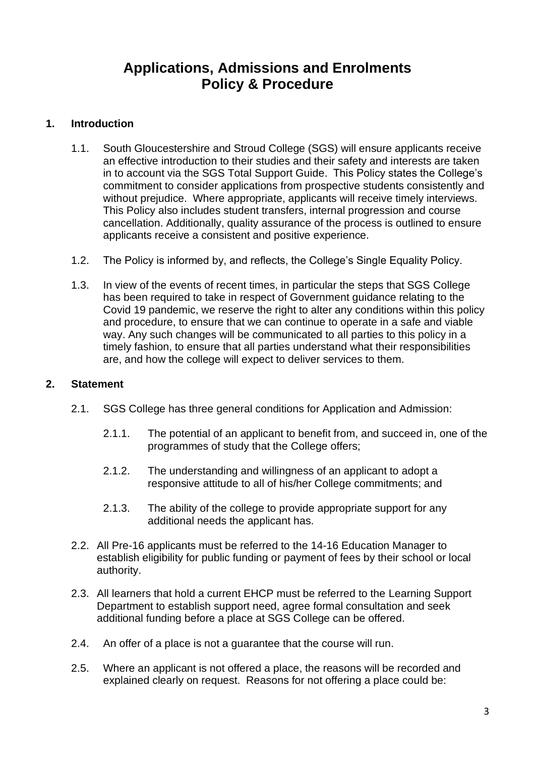# **Applications, Admissions and Enrolments Policy & Procedure**

#### **1. Introduction**

- 1.1. South Gloucestershire and Stroud College (SGS) will ensure applicants receive an effective introduction to their studies and their safety and interests are taken in to account via the SGS Total Support Guide. This Policy states the College's commitment to consider applications from prospective students consistently and without prejudice. Where appropriate, applicants will receive timely interviews. This Policy also includes student transfers, internal progression and course cancellation. Additionally, quality assurance of the process is outlined to ensure applicants receive a consistent and positive experience.
- 1.2. The Policy is informed by, and reflects, the College's Single Equality Policy.
- 1.3. In view of the events of recent times, in particular the steps that SGS College has been required to take in respect of Government guidance relating to the Covid 19 pandemic, we reserve the right to alter any conditions within this policy and procedure, to ensure that we can continue to operate in a safe and viable way. Any such changes will be communicated to all parties to this policy in a timely fashion, to ensure that all parties understand what their responsibilities are, and how the college will expect to deliver services to them.

#### **2. Statement**

- 2.1. SGS College has three general conditions for Application and Admission:
	- 2.1.1. The potential of an applicant to benefit from, and succeed in, one of the programmes of study that the College offers;
	- 2.1.2. The understanding and willingness of an applicant to adopt a responsive attitude to all of his/her College commitments; and
	- 2.1.3. The ability of the college to provide appropriate support for any additional needs the applicant has.
- 2.2. All Pre-16 applicants must be referred to the 14-16 Education Manager to establish eligibility for public funding or payment of fees by their school or local authority.
- 2.3. All learners that hold a current EHCP must be referred to the Learning Support Department to establish support need, agree formal consultation and seek additional funding before a place at SGS College can be offered.
- 2.4. An offer of a place is not a guarantee that the course will run.
- 2.5. Where an applicant is not offered a place, the reasons will be recorded and explained clearly on request. Reasons for not offering a place could be: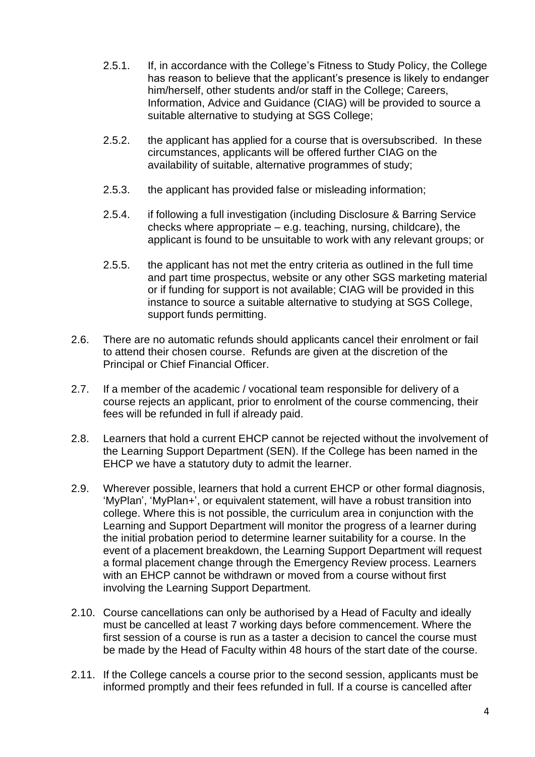- 2.5.1. If, in accordance with the College's Fitness to Study Policy, the College has reason to believe that the applicant's presence is likely to endanger him/herself, other students and/or staff in the College: Careers, Information, Advice and Guidance (CIAG) will be provided to source a suitable alternative to studying at SGS College;
- 2.5.2. the applicant has applied for a course that is oversubscribed. In these circumstances, applicants will be offered further CIAG on the availability of suitable, alternative programmes of study;
- 2.5.3. the applicant has provided false or misleading information;
- 2.5.4. if following a full investigation (including Disclosure & Barring Service checks where appropriate – e.g. teaching, nursing, childcare), the applicant is found to be unsuitable to work with any relevant groups; or
- 2.5.5. the applicant has not met the entry criteria as outlined in the full time and part time prospectus, website or any other SGS marketing material or if funding for support is not available; CIAG will be provided in this instance to source a suitable alternative to studying at SGS College, support funds permitting.
- 2.6. There are no automatic refunds should applicants cancel their enrolment or fail to attend their chosen course. Refunds are given at the discretion of the Principal or Chief Financial Officer.
- 2.7. If a member of the academic / vocational team responsible for delivery of a course rejects an applicant, prior to enrolment of the course commencing, their fees will be refunded in full if already paid.
- 2.8. Learners that hold a current EHCP cannot be rejected without the involvement of the Learning Support Department (SEN). If the College has been named in the EHCP we have a statutory duty to admit the learner.
- 2.9. Wherever possible, learners that hold a current EHCP or other formal diagnosis, 'MyPlan', 'MyPlan+', or equivalent statement, will have a robust transition into college. Where this is not possible, the curriculum area in conjunction with the Learning and Support Department will monitor the progress of a learner during the initial probation period to determine learner suitability for a course. In the event of a placement breakdown, the Learning Support Department will request a formal placement change through the Emergency Review process. Learners with an EHCP cannot be withdrawn or moved from a course without first involving the Learning Support Department.
- 2.10. Course cancellations can only be authorised by a Head of Faculty and ideally must be cancelled at least 7 working days before commencement. Where the first session of a course is run as a taster a decision to cancel the course must be made by the Head of Faculty within 48 hours of the start date of the course.
- 2.11. If the College cancels a course prior to the second session, applicants must be informed promptly and their fees refunded in full. If a course is cancelled after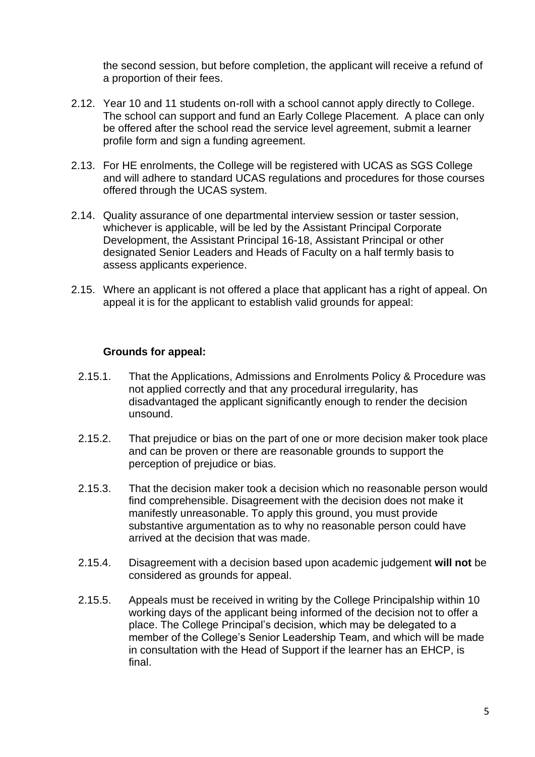the second session, but before completion, the applicant will receive a refund of a proportion of their fees.

- 2.12. Year 10 and 11 students on-roll with a school cannot apply directly to College. The school can support and fund an Early College Placement. A place can only be offered after the school read the service level agreement, submit a learner profile form and sign a funding agreement.
- 2.13. For HE enrolments, the College will be registered with UCAS as SGS College and will adhere to standard UCAS regulations and procedures for those courses offered through the UCAS system.
- 2.14. Quality assurance of one departmental interview session or taster session, whichever is applicable, will be led by the Assistant Principal Corporate Development, the Assistant Principal 16-18, Assistant Principal or other designated Senior Leaders and Heads of Faculty on a half termly basis to assess applicants experience.
- 2.15. Where an applicant is not offered a place that applicant has a right of appeal. On appeal it is for the applicant to establish valid grounds for appeal:

#### **Grounds for appeal:**

- 2.15.1. That the Applications, Admissions and Enrolments Policy & Procedure was not applied correctly and that any procedural irregularity, has disadvantaged the applicant significantly enough to render the decision unsound.
- 2.15.2. That prejudice or bias on the part of one or more decision maker took place and can be proven or there are reasonable grounds to support the perception of prejudice or bias.
- 2.15.3. That the decision maker took a decision which no reasonable person would find comprehensible. Disagreement with the decision does not make it manifestly unreasonable. To apply this ground, you must provide substantive argumentation as to why no reasonable person could have arrived at the decision that was made.
- 2.15.4. Disagreement with a decision based upon academic judgement **will not** be considered as grounds for appeal.
- 2.15.5. Appeals must be received in writing by the College Principalship within 10 working days of the applicant being informed of the decision not to offer a place. The College Principal's decision, which may be delegated to a member of the College's Senior Leadership Team, and which will be made in consultation with the Head of Support if the learner has an EHCP, is final.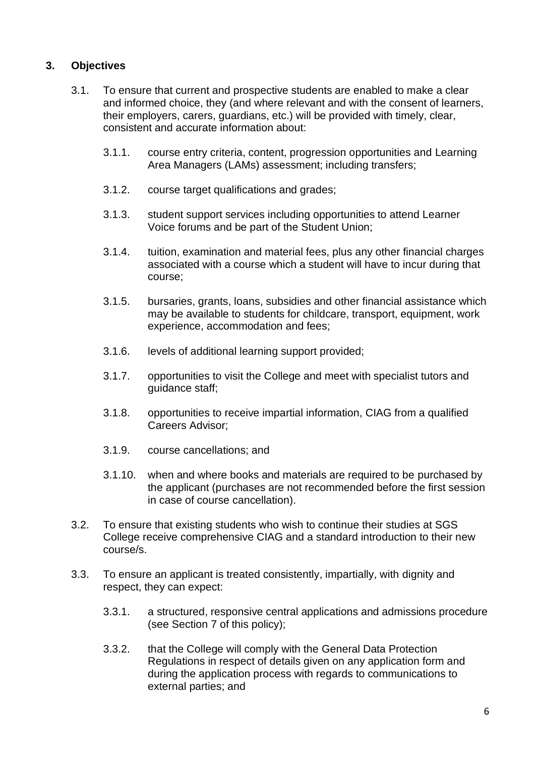### **3. Objectives**

- 3.1. To ensure that current and prospective students are enabled to make a clear and informed choice, they (and where relevant and with the consent of learners, their employers, carers, guardians, etc.) will be provided with timely, clear, consistent and accurate information about:
	- 3.1.1. course entry criteria, content, progression opportunities and Learning Area Managers (LAMs) assessment; including transfers;
	- 3.1.2. course target qualifications and grades;
	- 3.1.3. student support services including opportunities to attend Learner Voice forums and be part of the Student Union;
	- 3.1.4. tuition, examination and material fees, plus any other financial charges associated with a course which a student will have to incur during that course;
	- 3.1.5. bursaries, grants, loans, subsidies and other financial assistance which may be available to students for childcare, transport, equipment, work experience, accommodation and fees;
	- 3.1.6. levels of additional learning support provided;
	- 3.1.7. opportunities to visit the College and meet with specialist tutors and guidance staff;
	- 3.1.8. opportunities to receive impartial information, CIAG from a qualified Careers Advisor;
	- 3.1.9. course cancellations; and
	- 3.1.10. when and where books and materials are required to be purchased by the applicant (purchases are not recommended before the first session in case of course cancellation).
- 3.2. To ensure that existing students who wish to continue their studies at SGS College receive comprehensive CIAG and a standard introduction to their new course/s.
- 3.3. To ensure an applicant is treated consistently, impartially, with dignity and respect, they can expect:
	- 3.3.1. a structured, responsive central applications and admissions procedure (see Section 7 of this policy);
	- 3.3.2. that the College will comply with the General Data Protection Regulations in respect of details given on any application form and during the application process with regards to communications to external parties; and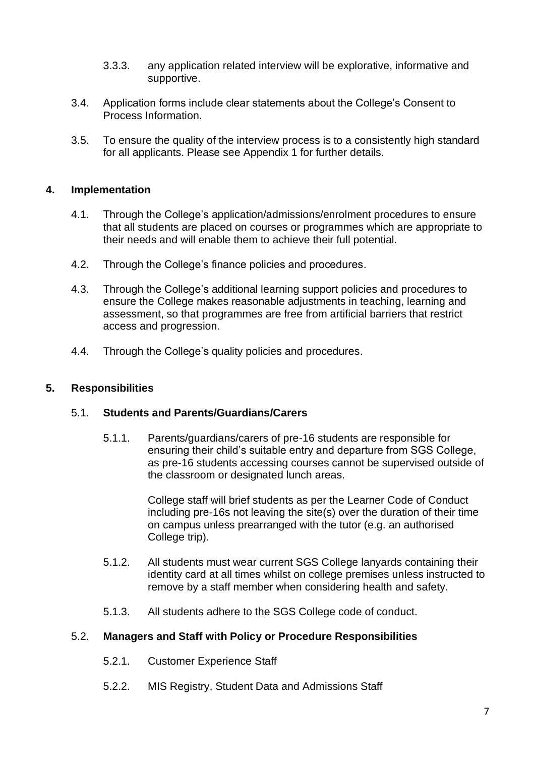- 3.3.3. any application related interview will be explorative, informative and supportive.
- 3.4. Application forms include clear statements about the College's Consent to Process Information.
- 3.5. To ensure the quality of the interview process is to a consistently high standard for all applicants. Please see Appendix 1 for further details.

#### **4. Implementation**

- 4.1. Through the College's application/admissions/enrolment procedures to ensure that all students are placed on courses or programmes which are appropriate to their needs and will enable them to achieve their full potential.
- 4.2. Through the College's finance policies and procedures.
- 4.3. Through the College's additional learning support policies and procedures to ensure the College makes reasonable adjustments in teaching, learning and assessment, so that programmes are free from artificial barriers that restrict access and progression.
- 4.4. Through the College's quality policies and procedures.

#### **5. Responsibilities**

#### 5.1. **Students and Parents/Guardians/Carers**

5.1.1. Parents/guardians/carers of pre-16 students are responsible for ensuring their child's suitable entry and departure from SGS College, as pre-16 students accessing courses cannot be supervised outside of the classroom or designated lunch areas.

> College staff will brief students as per the Learner Code of Conduct including pre-16s not leaving the site(s) over the duration of their time on campus unless prearranged with the tutor (e.g. an authorised College trip).

- 5.1.2. All students must wear current SGS College lanyards containing their identity card at all times whilst on college premises unless instructed to remove by a staff member when considering health and safety.
- 5.1.3. All students adhere to the SGS College code of conduct.

#### 5.2. **Managers and Staff with Policy or Procedure Responsibilities**

- 5.2.1. Customer Experience Staff
- 5.2.2. MIS Registry, Student Data and Admissions Staff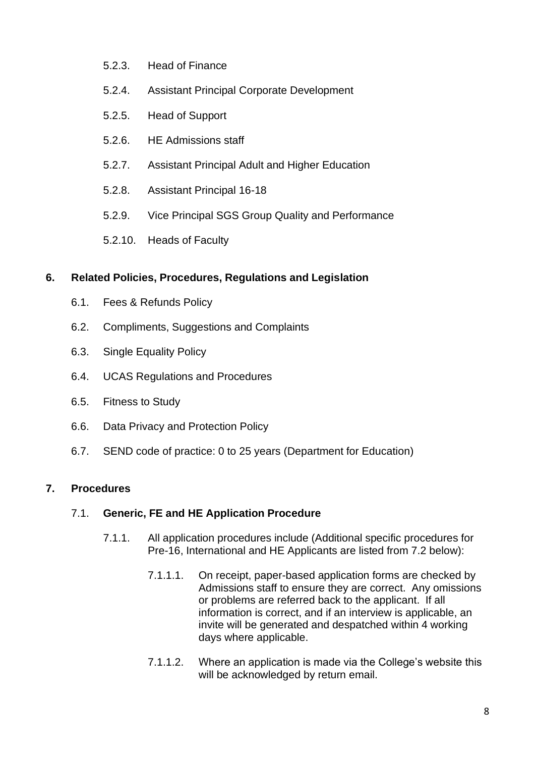- 5.2.3. Head of Finance
- 5.2.4. Assistant Principal Corporate Development
- 5.2.5. Head of Support
- 5.2.6. HE Admissions staff
- 5.2.7. Assistant Principal Adult and Higher Education
- 5.2.8. Assistant Principal 16-18
- 5.2.9. Vice Principal SGS Group Quality and Performance
- 5.2.10. Heads of Faculty

#### **6. Related Policies, Procedures, Regulations and Legislation**

- 6.1. Fees & Refunds Policy
- 6.2. Compliments, Suggestions and Complaints
- 6.3. Single Equality Policy
- 6.4. UCAS Regulations and Procedures
- 6.5. Fitness to Study
- 6.6. Data Privacy and Protection Policy
- 6.7. SEND code of practice: 0 to 25 years (Department for Education)

### **7. Procedures**

#### 7.1. **Generic, FE and HE Application Procedure**

- 7.1.1. All application procedures include (Additional specific procedures for Pre-16, International and HE Applicants are listed from 7.2 below):
	- 7.1.1.1. On receipt, paper-based application forms are checked by Admissions staff to ensure they are correct. Any omissions or problems are referred back to the applicant. If all information is correct, and if an interview is applicable, an invite will be generated and despatched within 4 working days where applicable.
	- 7.1.1.2. Where an application is made via the College's website this will be acknowledged by return email.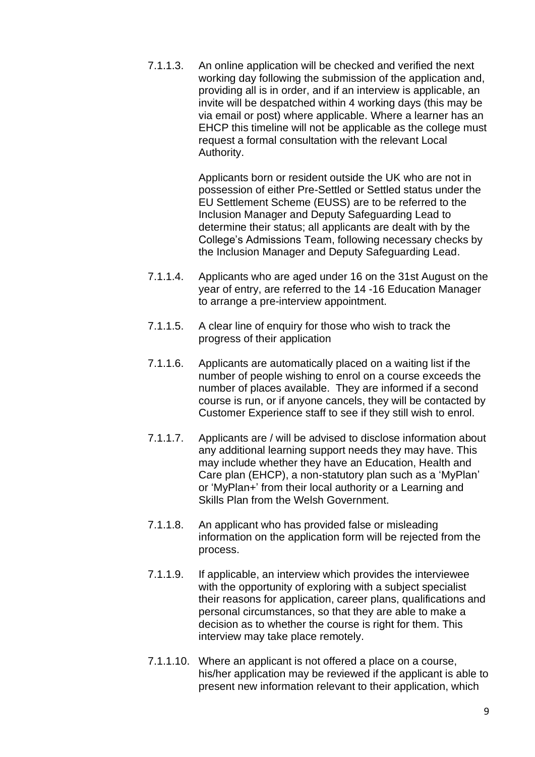7.1.1.3. An online application will be checked and verified the next working day following the submission of the application and, providing all is in order, and if an interview is applicable, an invite will be despatched within 4 working days (this may be via email or post) where applicable. Where a learner has an EHCP this timeline will not be applicable as the college must request a formal consultation with the relevant Local Authority.

> Applicants born or resident outside the UK who are not in possession of either Pre-Settled or Settled status under the EU Settlement Scheme (EUSS) are to be referred to the Inclusion Manager and Deputy Safeguarding Lead to determine their status; all applicants are dealt with by the College's Admissions Team, following necessary checks by the Inclusion Manager and Deputy Safeguarding Lead.

- 7.1.1.4. Applicants who are aged under 16 on the 31st August on the year of entry, are referred to the 14 -16 Education Manager to arrange a pre-interview appointment.
- 7.1.1.5. A clear line of enquiry for those who wish to track the progress of their application
- 7.1.1.6. Applicants are automatically placed on a waiting list if the number of people wishing to enrol on a course exceeds the number of places available. They are informed if a second course is run, or if anyone cancels, they will be contacted by Customer Experience staff to see if they still wish to enrol.
- 7.1.1.7. Applicants are / will be advised to disclose information about any additional learning support needs they may have. This may include whether they have an Education, Health and Care plan (EHCP), a non-statutory plan such as a 'MyPlan' or 'MyPlan+' from their local authority or a Learning and Skills Plan from the Welsh Government.
- 7.1.1.8. An applicant who has provided false or misleading information on the application form will be rejected from the process.
- 7.1.1.9. If applicable, an interview which provides the interviewee with the opportunity of exploring with a subject specialist their reasons for application, career plans, qualifications and personal circumstances, so that they are able to make a decision as to whether the course is right for them. This interview may take place remotely.
- 7.1.1.10. Where an applicant is not offered a place on a course, his/her application may be reviewed if the applicant is able to present new information relevant to their application, which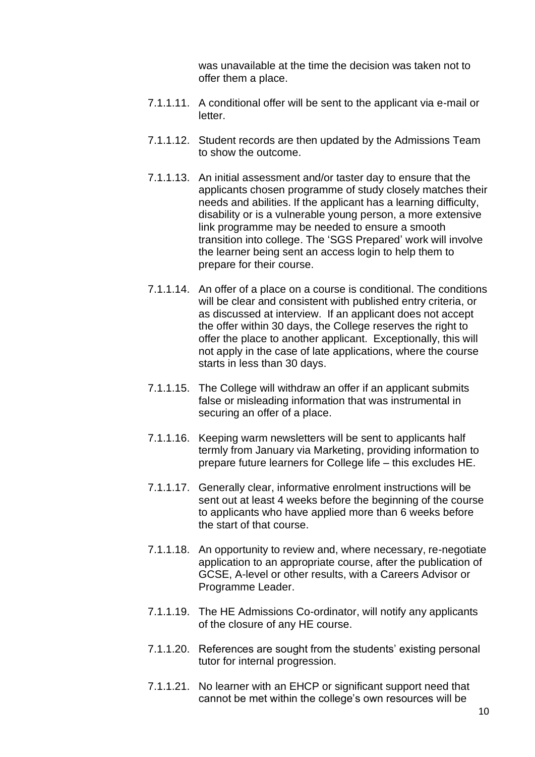was unavailable at the time the decision was taken not to offer them a place.

- 7.1.1.11. A conditional offer will be sent to the applicant via e-mail or letter.
- 7.1.1.12. Student records are then updated by the Admissions Team to show the outcome.
- 7.1.1.13. An initial assessment and/or taster day to ensure that the applicants chosen programme of study closely matches their needs and abilities. If the applicant has a learning difficulty, disability or is a vulnerable young person, a more extensive link programme may be needed to ensure a smooth transition into college. The 'SGS Prepared' work will involve the learner being sent an access login to help them to prepare for their course.
- 7.1.1.14. An offer of a place on a course is conditional. The conditions will be clear and consistent with published entry criteria, or as discussed at interview. If an applicant does not accept the offer within 30 days, the College reserves the right to offer the place to another applicant. Exceptionally, this will not apply in the case of late applications, where the course starts in less than 30 days.
- 7.1.1.15. The College will withdraw an offer if an applicant submits false or misleading information that was instrumental in securing an offer of a place.
- 7.1.1.16. Keeping warm newsletters will be sent to applicants half termly from January via Marketing, providing information to prepare future learners for College life – this excludes HE.
- 7.1.1.17. Generally clear, informative enrolment instructions will be sent out at least 4 weeks before the beginning of the course to applicants who have applied more than 6 weeks before the start of that course.
- 7.1.1.18. An opportunity to review and, where necessary, re-negotiate application to an appropriate course, after the publication of GCSE, A-level or other results, with a Careers Advisor or Programme Leader.
- 7.1.1.19. The HE Admissions Co-ordinator, will notify any applicants of the closure of any HE course.
- 7.1.1.20. References are sought from the students' existing personal tutor for internal progression.
- 7.1.1.21. No learner with an EHCP or significant support need that cannot be met within the college's own resources will be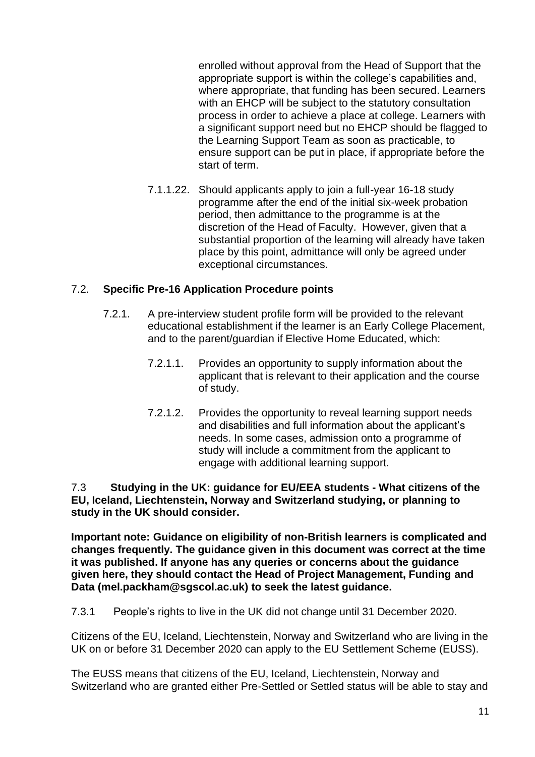enrolled without approval from the Head of Support that the appropriate support is within the college's capabilities and, where appropriate, that funding has been secured. Learners with an EHCP will be subject to the statutory consultation process in order to achieve a place at college. Learners with a significant support need but no EHCP should be flagged to the Learning Support Team as soon as practicable, to ensure support can be put in place, if appropriate before the start of term.

7.1.1.22. Should applicants apply to join a full-year 16-18 study programme after the end of the initial six-week probation period, then admittance to the programme is at the discretion of the Head of Faculty. However, given that a substantial proportion of the learning will already have taken place by this point, admittance will only be agreed under exceptional circumstances.

### 7.2. **Specific Pre-16 Application Procedure points**

- 7.2.1. A pre-interview student profile form will be provided to the relevant educational establishment if the learner is an Early College Placement, and to the parent/guardian if Elective Home Educated, which:
	- 7.2.1.1. Provides an opportunity to supply information about the applicant that is relevant to their application and the course of study.
	- 7.2.1.2. Provides the opportunity to reveal learning support needs and disabilities and full information about the applicant's needs. In some cases, admission onto a programme of study will include a commitment from the applicant to engage with additional learning support.

7.3 **Studying in the UK: guidance for EU/EEA students - What citizens of the EU, Iceland, Liechtenstein, Norway and Switzerland studying, or planning to study in the UK should consider.**

**Important note: Guidance on eligibility of non-British learners is complicated and changes frequently. The guidance given in this document was correct at the time it was published. If anyone has any queries or concerns about the guidance given here, they should contact the Head of Project Management, Funding and Data (mel.packham@sgscol.ac.uk) to seek the latest guidance.**

7.3.1 People's rights to live in the UK did not change until 31 December 2020.

Citizens of the EU, Iceland, Liechtenstein, Norway and Switzerland who are living in the UK on or before 31 December 2020 can apply to the EU Settlement Scheme (EUSS).

The EUSS means that citizens of the EU, Iceland, Liechtenstein, Norway and Switzerland who are granted either Pre-Settled or Settled status will be able to stay and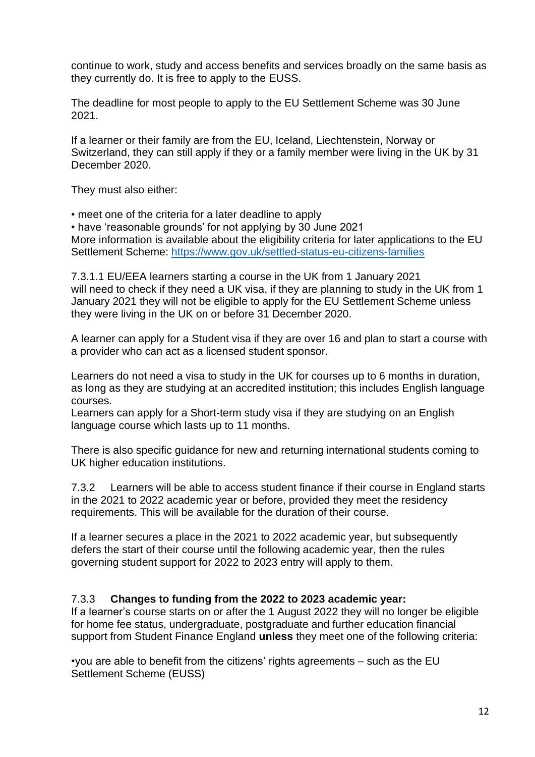continue to work, study and access benefits and services broadly on the same basis as they currently do. It is free to apply to the EUSS.

The deadline for most people to apply to the EU Settlement Scheme was 30 June 2021.

If a learner or their family are from the EU, Iceland, Liechtenstein, Norway or Switzerland, they can still apply if they or a family member were living in the UK by 31 December 2020.

They must also either:

• meet one of the criteria for a later deadline to apply

• have 'reasonable grounds' for not applying by 30 June 2021 More information is available about the eligibility criteria for later applications to the EU Settlement Scheme:<https://www.gov.uk/settled-status-eu-citizens-families>

7.3.1.1 EU/EEA learners starting a course in the UK from 1 January 2021 will need to check if they need a UK visa, if they are planning to study in the UK from 1 January 2021 they will not be eligible to apply for the EU Settlement Scheme unless they were living in the UK on or before 31 December 2020.

A learner can apply for a Student visa if they are over 16 and plan to start a course with a provider who can act as a licensed student sponsor.

Learners do not need a visa to study in the UK for courses up to 6 months in duration, as long as they are studying at an accredited institution; this includes English language courses.

Learners can apply for a Short-term study visa if they are studying on an English language course which lasts up to 11 months.

There is also specific guidance for new and returning international students coming to UK higher education institutions.

7.3.2 Learners will be able to access student finance if their course in England starts in the 2021 to 2022 academic year or before, provided they meet the residency requirements. This will be available for the duration of their course.

If a learner secures a place in the 2021 to 2022 academic year, but subsequently defers the start of their course until the following academic year, then the rules governing student support for 2022 to 2023 entry will apply to them.

#### 7.3.3 **Changes to funding from the 2022 to 2023 academic year:**

If a learner's course starts on or after the 1 August 2022 they will no longer be eligible for home fee status, undergraduate, postgraduate and further education financial support from Student Finance England **unless** they meet one of the following criteria:

•you are able to benefit from the citizens' rights agreements – such as the EU Settlement Scheme (EUSS)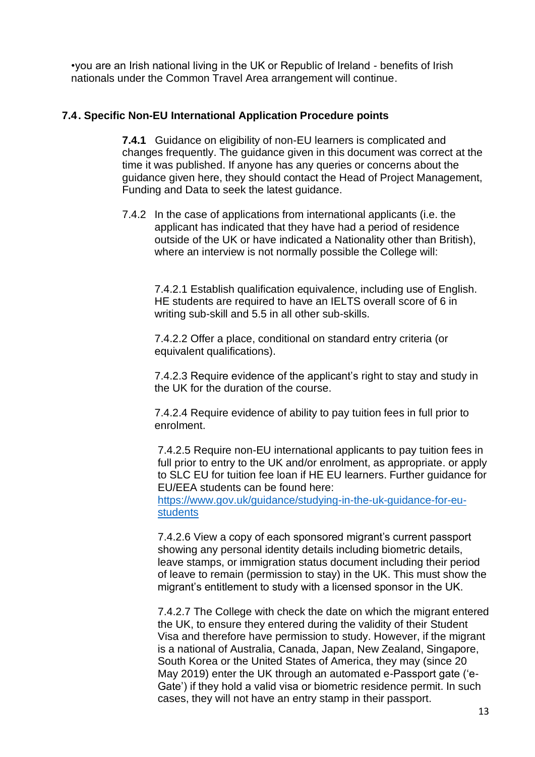•you are an Irish national living in the UK or Republic of Ireland - benefits of Irish nationals under the Common Travel Area arrangement will continue.

#### **7.4. Specific Non-EU International Application Procedure points**

**7.4.1** Guidance on eligibility of non-EU learners is complicated and changes frequently. The guidance given in this document was correct at the time it was published. If anyone has any queries or concerns about the guidance given here, they should contact the Head of Project Management, Funding and Data to seek the latest guidance.

7.4.2 In the case of applications from international applicants (i.e. the applicant has indicated that they have had a period of residence outside of the UK or have indicated a Nationality other than British), where an interview is not normally possible the College will:

7.4.2.1 Establish qualification equivalence, including use of English. HE students are required to have an IELTS overall score of 6 in writing sub-skill and 5.5 in all other sub-skills.

7.4.2.2 Offer a place, conditional on standard entry criteria (or equivalent qualifications).

7.4.2.3 Require evidence of the applicant's right to stay and study in the UK for the duration of the course.

7.4.2.4 Require evidence of ability to pay tuition fees in full prior to enrolment.

7.4.2.5 Require non-EU international applicants to pay tuition fees in full prior to entry to the UK and/or enrolment, as appropriate. or apply to SLC EU for tuition fee loan if HE EU learners. Further guidance for EU/EEA students can be found here:

[https://www.gov.uk/guidance/studying-in-the-uk-guidance-for-eu](https://www.gov.uk/guidance/studying-in-the-uk-guidance-for-eu-students)[students](https://www.gov.uk/guidance/studying-in-the-uk-guidance-for-eu-students)

7.4.2.6 View a copy of each sponsored migrant's current passport showing any personal identity details including biometric details, leave stamps, or immigration status document including their period of leave to remain (permission to stay) in the UK. This must show the migrant's entitlement to study with a licensed sponsor in the UK.

7.4.2.7 The College with check the date on which the migrant entered the UK, to ensure they entered during the validity of their Student Visa and therefore have permission to study. However, if the migrant is a national of Australia, Canada, Japan, New Zealand, Singapore, South Korea or the United States of America, they may (since 20 May 2019) enter the UK through an automated e-Passport gate ('e-Gate') if they hold a valid visa or biometric residence permit. In such cases, they will not have an entry stamp in their passport.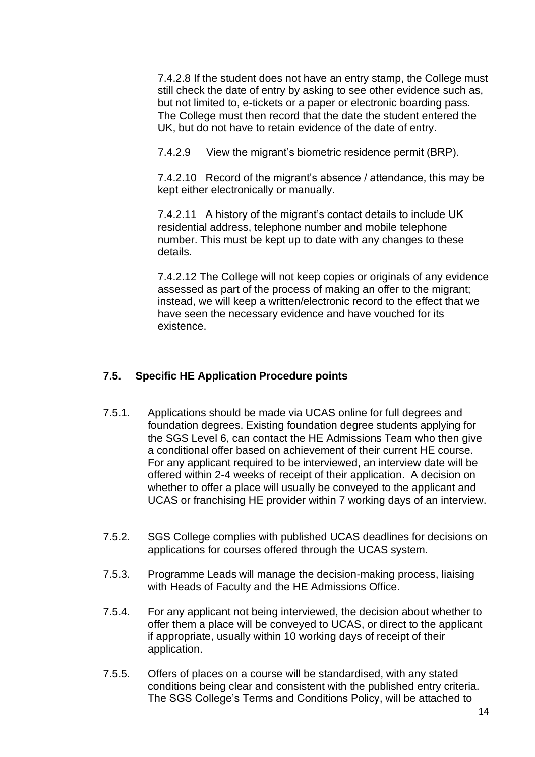7.4.2.8 If the student does not have an entry stamp, the College must still check the date of entry by asking to see other evidence such as, but not limited to, e-tickets or a paper or electronic boarding pass. The College must then record that the date the student entered the UK, but do not have to retain evidence of the date of entry.

7.4.2.9 View the migrant's biometric residence permit (BRP).

7.4.2.10 Record of the migrant's absence / attendance, this may be kept either electronically or manually.

7.4.2.11 A history of the migrant's contact details to include UK residential address, telephone number and mobile telephone number. This must be kept up to date with any changes to these details.

7.4.2.12 The College will not keep copies or originals of any evidence assessed as part of the process of making an offer to the migrant; instead, we will keep a written/electronic record to the effect that we have seen the necessary evidence and have vouched for its existence.

#### **7.5. Specific HE Application Procedure points**

- 7.5.1. Applications should be made via UCAS online for full degrees and foundation degrees. Existing foundation degree students applying for the SGS Level 6, can contact the HE Admissions Team who then give a conditional offer based on achievement of their current HE course. For any applicant required to be interviewed, an interview date will be offered within 2-4 weeks of receipt of their application. A decision on whether to offer a place will usually be conveyed to the applicant and UCAS or franchising HE provider within 7 working days of an interview.
- 7.5.2. SGS College complies with published UCAS deadlines for decisions on applications for courses offered through the UCAS system.
- 7.5.3. Programme Leads will manage the decision-making process, liaising with Heads of Faculty and the HE Admissions Office.
- 7.5.4. For any applicant not being interviewed, the decision about whether to offer them a place will be conveyed to UCAS, or direct to the applicant if appropriate, usually within 10 working days of receipt of their application.
- 7.5.5. Offers of places on a course will be standardised, with any stated conditions being clear and consistent with the published entry criteria. The SGS College's Terms and Conditions Policy, will be attached to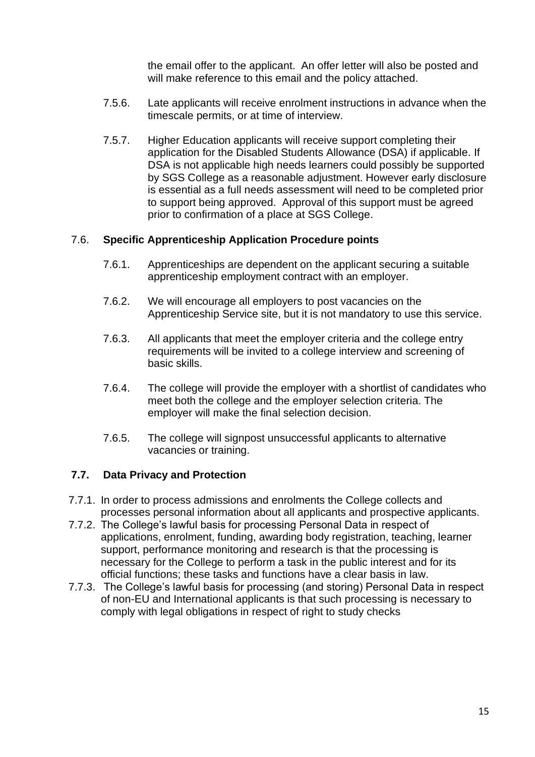the email offer to the applicant. An offer letter will also be posted and will make reference to this email and the policy attached.

- 7.5.6. Late applicants will receive enrolment instructions in advance when the timescale permits, or at time of interview.
- 7.5.7. Higher Education applicants will receive support completing their application for the Disabled Students Allowance (DSA) if applicable. If DSA is not applicable high needs learners could possibly be supported by SGS College as a reasonable adjustment. However early disclosure is essential as a full needs assessment will need to be completed prior to support being approved. Approval of this support must be agreed prior to confirmation of a place at SGS College.

#### 7.6. **Specific Apprenticeship Application Procedure points**

- 7.6.1. Apprenticeships are dependent on the applicant securing a suitable apprenticeship employment contract with an employer.
- 7.6.2. We will encourage all employers to post vacancies on the Apprenticeship Service site, but it is not mandatory to use this service.
- 7.6.3. All applicants that meet the employer criteria and the college entry requirements will be invited to a college interview and screening of basic skills.
- 7.6.4. The college will provide the employer with a shortlist of candidates who meet both the college and the employer selection criteria. The employer will make the final selection decision.
- 7.6.5. The college will signpost unsuccessful applicants to alternative vacancies or training.

#### **7.7. Data Privacy and Protection**

- 7.7.1. In order to process admissions and enrolments the College collects and processes personal information about all applicants and prospective applicants.
- 7.7.2. The College's lawful basis for processing Personal Data in respect of applications, enrolment, funding, awarding body registration, teaching, learner support, performance monitoring and research is that the processing is necessary for the College to perform a task in the public interest and for its official functions; these tasks and functions have a clear basis in law.
- 7.7.3. The College's lawful basis for processing (and storing) Personal Data in respect of non-EU and International applicants is that such processing is necessary to comply with legal obligations in respect of right to study checks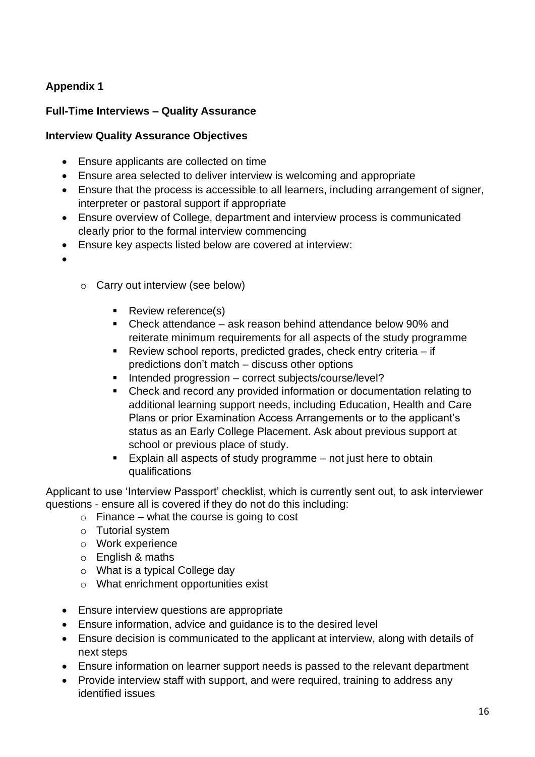# **Appendix 1**

### **Full-Time Interviews – Quality Assurance**

### **Interview Quality Assurance Objectives**

- Ensure applicants are collected on time
- Ensure area selected to deliver interview is welcoming and appropriate
- Ensure that the process is accessible to all learners, including arrangement of signer, interpreter or pastoral support if appropriate
- Ensure overview of College, department and interview process is communicated clearly prior to the formal interview commencing
- Ensure key aspects listed below are covered at interview:
- •
- o Carry out interview (see below)
	- Review reference(s)
	- Check attendance ask reason behind attendance below 90% and reiterate minimum requirements for all aspects of the study programme
	- Review school reports, predicted grades, check entry criteria if predictions don't match – discuss other options
	- Intended progression correct subjects/course/level?
	- Check and record any provided information or documentation relating to additional learning support needs, including Education, Health and Care Plans or prior Examination Access Arrangements or to the applicant's status as an Early College Placement. Ask about previous support at school or previous place of study.
	- Explain all aspects of study programme not just here to obtain qualifications

Applicant to use 'Interview Passport' checklist, which is currently sent out, to ask interviewer questions - ensure all is covered if they do not do this including:

- $\circ$  Finance what the course is going to cost
- o Tutorial system
- o Work experience
- o English & maths
- o What is a typical College day
- o What enrichment opportunities exist
- Ensure interview questions are appropriate
- Ensure information, advice and guidance is to the desired level
- Ensure decision is communicated to the applicant at interview, along with details of next steps
- Ensure information on learner support needs is passed to the relevant department
- Provide interview staff with support, and were required, training to address any identified issues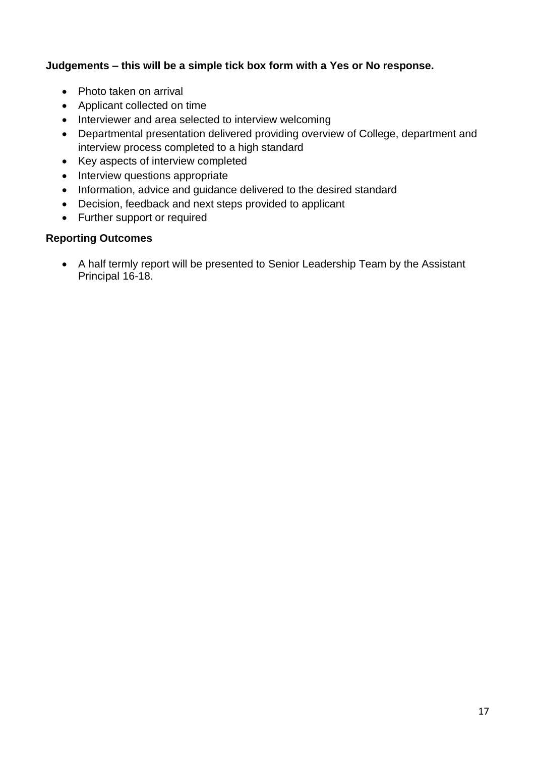### **Judgements – this will be a simple tick box form with a Yes or No response.**

- Photo taken on arrival
- Applicant collected on time
- Interviewer and area selected to interview welcoming
- Departmental presentation delivered providing overview of College, department and interview process completed to a high standard
- Key aspects of interview completed
- Interview questions appropriate
- Information, advice and guidance delivered to the desired standard
- Decision, feedback and next steps provided to applicant
- Further support or required

### **Reporting Outcomes**

• A half termly report will be presented to Senior Leadership Team by the Assistant Principal 16-18.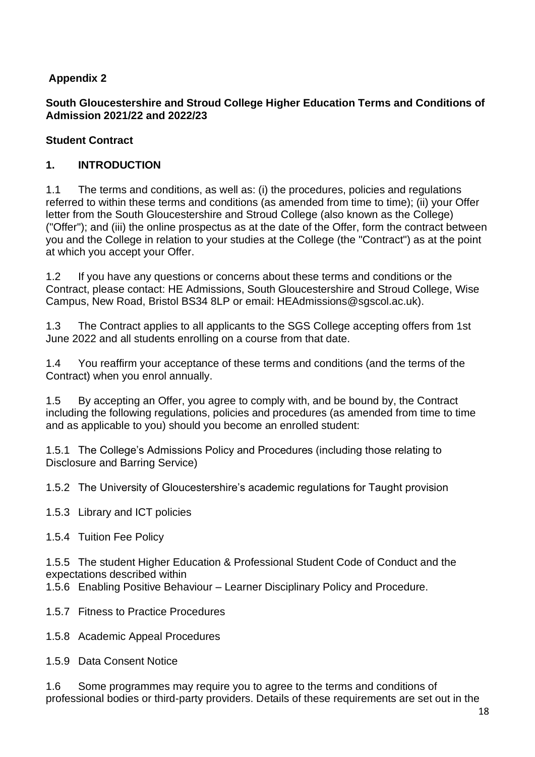# **Appendix 2**

### **South Gloucestershire and Stroud College Higher Education Terms and Conditions of Admission 2021/22 and 2022/23**

### **Student Contract**

### **1. INTRODUCTION**

1.1 The terms and conditions, as well as: (i) the procedures, policies and regulations referred to within these terms and conditions (as amended from time to time); (ii) your Offer letter from the South Gloucestershire and Stroud College (also known as the College) ("Offer"); and (iii) the online prospectus as at the date of the Offer, form the contract between you and the College in relation to your studies at the College (the "Contract") as at the point at which you accept your Offer.

1.2 If you have any questions or concerns about these terms and conditions or the Contract, please contact: HE Admissions, South Gloucestershire and Stroud College, Wise Campus, New Road, Bristol BS34 8LP or email: HEAdmissions@sgscol.ac.uk).

1.3 The Contract applies to all applicants to the SGS College accepting offers from 1st June 2022 and all students enrolling on a course from that date.

1.4 You reaffirm your acceptance of these terms and conditions (and the terms of the Contract) when you enrol annually.

1.5 By accepting an Offer, you agree to comply with, and be bound by, the Contract including the following regulations, policies and procedures (as amended from time to time and as applicable to you) should you become an enrolled student:

1.5.1 The College's Admissions Policy and Procedures (including those relating to Disclosure and Barring Service)

1.5.2 The University of Gloucestershire's academic regulations for Taught provision

- 1.5.3 Library and ICT policies
- 1.5.4 Tuition Fee Policy

1.5.5 The student Higher Education & Professional Student Code of Conduct and the expectations described within

1.5.6 Enabling Positive Behaviour – Learner Disciplinary Policy and Procedure.

- 1.5.7 Fitness to Practice Procedures
- 1.5.8 Academic Appeal Procedures
- 1.5.9 Data Consent Notice

1.6 Some programmes may require you to agree to the terms and conditions of professional bodies or third-party providers. Details of these requirements are set out in the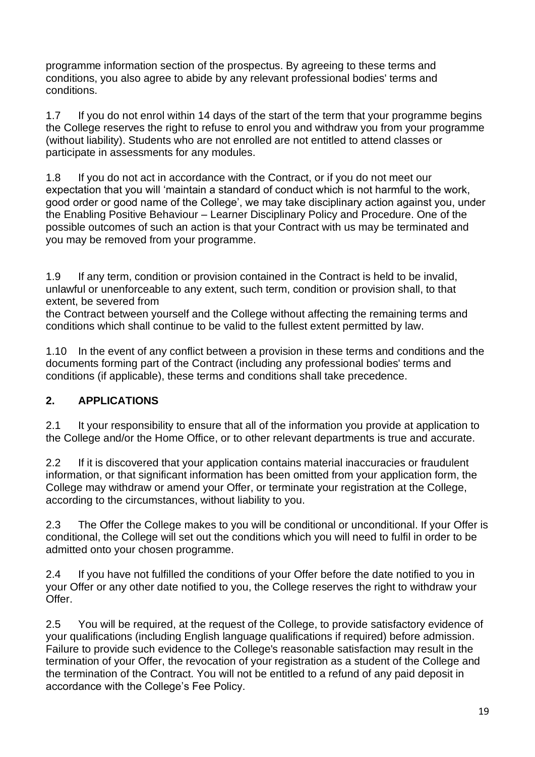programme information section of the prospectus. By agreeing to these terms and conditions, you also agree to abide by any relevant professional bodies' terms and conditions.

1.7 If you do not enrol within 14 days of the start of the term that your programme begins the College reserves the right to refuse to enrol you and withdraw you from your programme (without liability). Students who are not enrolled are not entitled to attend classes or participate in assessments for any modules.

1.8 If you do not act in accordance with the Contract, or if you do not meet our expectation that you will 'maintain a standard of conduct which is not harmful to the work, good order or good name of the College', we may take disciplinary action against you, under the Enabling Positive Behaviour – Learner Disciplinary Policy and Procedure. One of the possible outcomes of such an action is that your Contract with us may be terminated and you may be removed from your programme.

1.9 If any term, condition or provision contained in the Contract is held to be invalid, unlawful or unenforceable to any extent, such term, condition or provision shall, to that extent, be severed from

the Contract between yourself and the College without affecting the remaining terms and conditions which shall continue to be valid to the fullest extent permitted by law.

1.10 In the event of any conflict between a provision in these terms and conditions and the documents forming part of the Contract (including any professional bodies' terms and conditions (if applicable), these terms and conditions shall take precedence.

# **2. APPLICATIONS**

2.1 It your responsibility to ensure that all of the information you provide at application to the College and/or the Home Office, or to other relevant departments is true and accurate.

2.2 If it is discovered that your application contains material inaccuracies or fraudulent information, or that significant information has been omitted from your application form, the College may withdraw or amend your Offer, or terminate your registration at the College, according to the circumstances, without liability to you.

2.3 The Offer the College makes to you will be conditional or unconditional. If your Offer is conditional, the College will set out the conditions which you will need to fulfil in order to be admitted onto your chosen programme.

2.4 If you have not fulfilled the conditions of your Offer before the date notified to you in your Offer or any other date notified to you, the College reserves the right to withdraw your Offer.

2.5 You will be required, at the request of the College, to provide satisfactory evidence of your qualifications (including English language qualifications if required) before admission. Failure to provide such evidence to the College's reasonable satisfaction may result in the termination of your Offer, the revocation of your registration as a student of the College and the termination of the Contract. You will not be entitled to a refund of any paid deposit in accordance with the College's Fee Policy.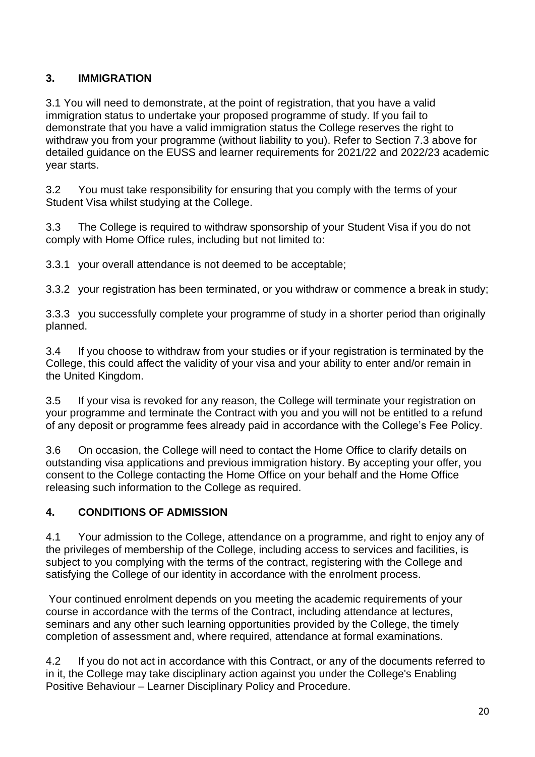# **3. IMMIGRATION**

3.1 You will need to demonstrate, at the point of registration, that you have a valid immigration status to undertake your proposed programme of study. If you fail to demonstrate that you have a valid immigration status the College reserves the right to withdraw you from your programme (without liability to you). Refer to Section 7.3 above for detailed guidance on the EUSS and learner requirements for 2021/22 and 2022/23 academic year starts.

3.2 You must take responsibility for ensuring that you comply with the terms of your Student Visa whilst studying at the College.

3.3 The College is required to withdraw sponsorship of your Student Visa if you do not comply with Home Office rules, including but not limited to:

3.3.1 your overall attendance is not deemed to be acceptable;

3.3.2 your registration has been terminated, or you withdraw or commence a break in study;

3.3.3 you successfully complete your programme of study in a shorter period than originally planned.

3.4 If you choose to withdraw from your studies or if your registration is terminated by the College, this could affect the validity of your visa and your ability to enter and/or remain in the United Kingdom.

3.5 If your visa is revoked for any reason, the College will terminate your registration on your programme and terminate the Contract with you and you will not be entitled to a refund of any deposit or programme fees already paid in accordance with the College's Fee Policy.

3.6 On occasion, the College will need to contact the Home Office to clarify details on outstanding visa applications and previous immigration history. By accepting your offer, you consent to the College contacting the Home Office on your behalf and the Home Office releasing such information to the College as required.

### **4. CONDITIONS OF ADMISSION**

4.1 Your admission to the College, attendance on a programme, and right to enjoy any of the privileges of membership of the College, including access to services and facilities, is subject to you complying with the terms of the contract, registering with the College and satisfying the College of our identity in accordance with the enrolment process.

Your continued enrolment depends on you meeting the academic requirements of your course in accordance with the terms of the Contract, including attendance at lectures, seminars and any other such learning opportunities provided by the College, the timely completion of assessment and, where required, attendance at formal examinations.

4.2 If you do not act in accordance with this Contract, or any of the documents referred to in it, the College may take disciplinary action against you under the College's Enabling Positive Behaviour – Learner Disciplinary Policy and Procedure.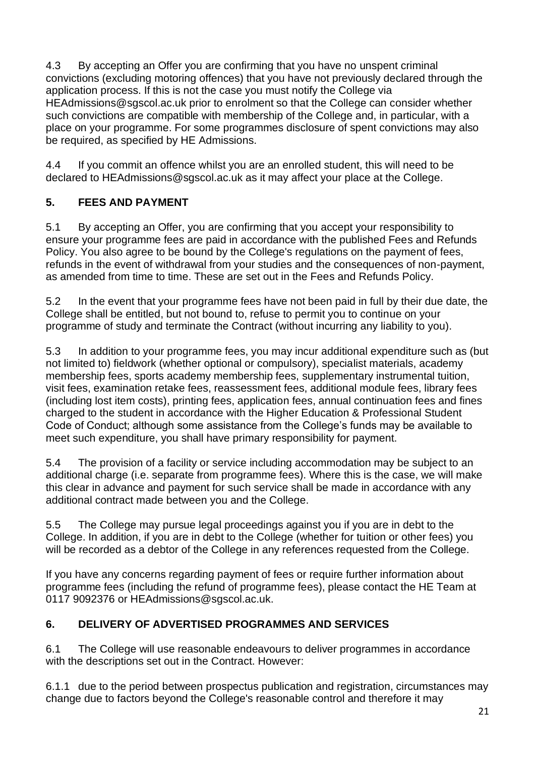4.3 By accepting an Offer you are confirming that you have no unspent criminal convictions (excluding motoring offences) that you have not previously declared through the application process. If this is not the case you must notify the College via HEAdmissions@sgscol.ac.uk prior to enrolment so that the College can consider whether such convictions are compatible with membership of the College and, in particular, with a place on your programme. For some programmes disclosure of spent convictions may also be required, as specified by HE Admissions.

4.4 If you commit an offence whilst you are an enrolled student, this will need to be declared to HEAdmissions@sgscol.ac.uk as it may affect your place at the College.

# **5. FEES AND PAYMENT**

5.1 By accepting an Offer, you are confirming that you accept your responsibility to ensure your programme fees are paid in accordance with the published Fees and Refunds Policy. You also agree to be bound by the College's regulations on the payment of fees, refunds in the event of withdrawal from your studies and the consequences of non-payment, as amended from time to time. These are set out in the Fees and Refunds Policy.

5.2 In the event that your programme fees have not been paid in full by their due date, the College shall be entitled, but not bound to, refuse to permit you to continue on your programme of study and terminate the Contract (without incurring any liability to you).

5.3 In addition to your programme fees, you may incur additional expenditure such as (but not limited to) fieldwork (whether optional or compulsory), specialist materials, academy membership fees, sports academy membership fees, supplementary instrumental tuition, visit fees, examination retake fees, reassessment fees, additional module fees, library fees (including lost item costs), printing fees, application fees, annual continuation fees and fines charged to the student in accordance with the Higher Education & Professional Student Code of Conduct; although some assistance from the College's funds may be available to meet such expenditure, you shall have primary responsibility for payment.

5.4 The provision of a facility or service including accommodation may be subject to an additional charge (i.e. separate from programme fees). Where this is the case, we will make this clear in advance and payment for such service shall be made in accordance with any additional contract made between you and the College.

5.5 The College may pursue legal proceedings against you if you are in debt to the College. In addition, if you are in debt to the College (whether for tuition or other fees) you will be recorded as a debtor of the College in any references requested from the College.

If you have any concerns regarding payment of fees or require further information about programme fees (including the refund of programme fees), please contact the HE Team at 0117 9092376 or HEAdmissions@sgscol.ac.uk.

# **6. DELIVERY OF ADVERTISED PROGRAMMES AND SERVICES**

6.1 The College will use reasonable endeavours to deliver programmes in accordance with the descriptions set out in the Contract. However:

6.1.1 due to the period between prospectus publication and registration, circumstances may change due to factors beyond the College's reasonable control and therefore it may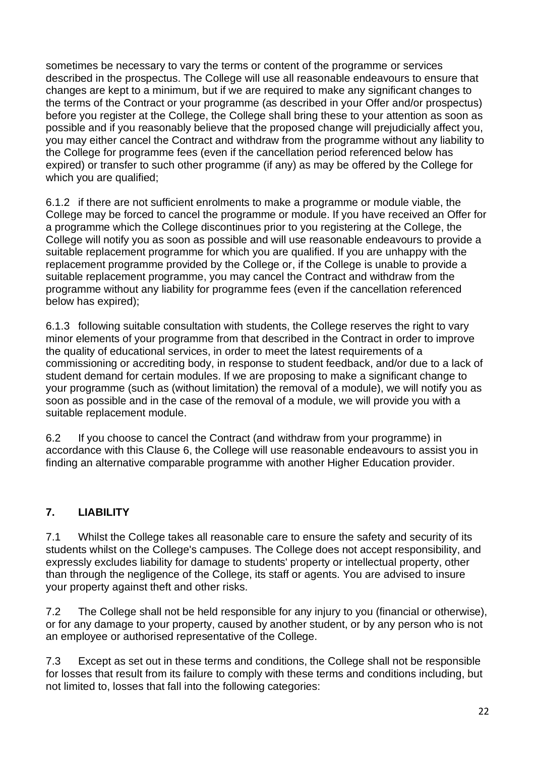sometimes be necessary to vary the terms or content of the programme or services described in the prospectus. The College will use all reasonable endeavours to ensure that changes are kept to a minimum, but if we are required to make any significant changes to the terms of the Contract or your programme (as described in your Offer and/or prospectus) before you register at the College, the College shall bring these to your attention as soon as possible and if you reasonably believe that the proposed change will prejudicially affect you, you may either cancel the Contract and withdraw from the programme without any liability to the College for programme fees (even if the cancellation period referenced below has expired) or transfer to such other programme (if any) as may be offered by the College for which you are qualified;

6.1.2 if there are not sufficient enrolments to make a programme or module viable, the College may be forced to cancel the programme or module. If you have received an Offer for a programme which the College discontinues prior to you registering at the College, the College will notify you as soon as possible and will use reasonable endeavours to provide a suitable replacement programme for which you are qualified. If you are unhappy with the replacement programme provided by the College or, if the College is unable to provide a suitable replacement programme, you may cancel the Contract and withdraw from the programme without any liability for programme fees (even if the cancellation referenced below has expired);

6.1.3 following suitable consultation with students, the College reserves the right to vary minor elements of your programme from that described in the Contract in order to improve the quality of educational services, in order to meet the latest requirements of a commissioning or accrediting body, in response to student feedback, and/or due to a lack of student demand for certain modules. If we are proposing to make a significant change to your programme (such as (without limitation) the removal of a module), we will notify you as soon as possible and in the case of the removal of a module, we will provide you with a suitable replacement module.

6.2 If you choose to cancel the Contract (and withdraw from your programme) in accordance with this Clause 6, the College will use reasonable endeavours to assist you in finding an alternative comparable programme with another Higher Education provider.

### **7. LIABILITY**

7.1 Whilst the College takes all reasonable care to ensure the safety and security of its students whilst on the College's campuses. The College does not accept responsibility, and expressly excludes liability for damage to students' property or intellectual property, other than through the negligence of the College, its staff or agents. You are advised to insure your property against theft and other risks.

7.2 The College shall not be held responsible for any injury to you (financial or otherwise), or for any damage to your property, caused by another student, or by any person who is not an employee or authorised representative of the College.

7.3 Except as set out in these terms and conditions, the College shall not be responsible for losses that result from its failure to comply with these terms and conditions including, but not limited to, losses that fall into the following categories: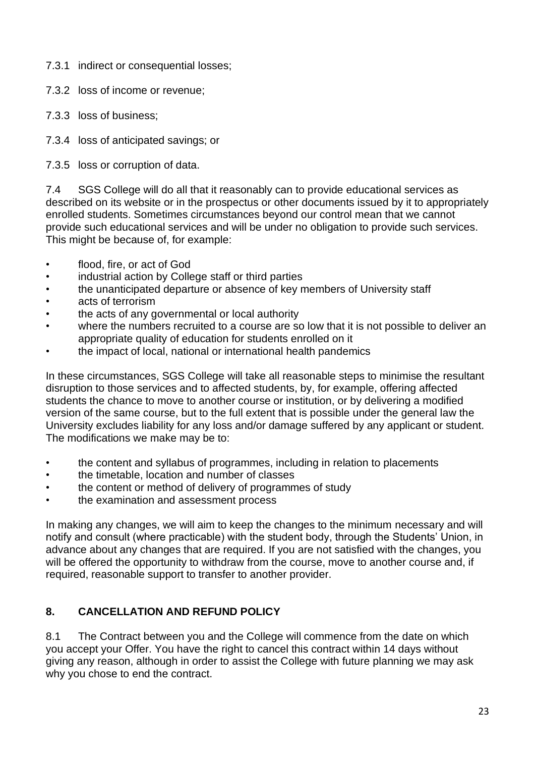- 7.3.1 indirect or consequential losses;
- 7.3.2 loss of income or revenue;
- 7.3.3 loss of business;
- 7.3.4 loss of anticipated savings; or
- 7.3.5 loss or corruption of data.

7.4 SGS College will do all that it reasonably can to provide educational services as described on its website or in the prospectus or other documents issued by it to appropriately enrolled students. Sometimes circumstances beyond our control mean that we cannot provide such educational services and will be under no obligation to provide such services. This might be because of, for example:

- flood, fire, or act of God
- industrial action by College staff or third parties
- the unanticipated departure or absence of key members of University staff
- acts of terrorism
- the acts of any governmental or local authority
- where the numbers recruited to a course are so low that it is not possible to deliver an appropriate quality of education for students enrolled on it
- the impact of local, national or international health pandemics

In these circumstances, SGS College will take all reasonable steps to minimise the resultant disruption to those services and to affected students, by, for example, offering affected students the chance to move to another course or institution, or by delivering a modified version of the same course, but to the full extent that is possible under the general law the University excludes liability for any loss and/or damage suffered by any applicant or student. The modifications we make may be to:

- the content and syllabus of programmes, including in relation to placements
- the timetable, location and number of classes
- the content or method of delivery of programmes of study
- the examination and assessment process

In making any changes, we will aim to keep the changes to the minimum necessary and will notify and consult (where practicable) with the student body, through the Students' Union, in advance about any changes that are required. If you are not satisfied with the changes, you will be offered the opportunity to withdraw from the course, move to another course and, if required, reasonable support to transfer to another provider.

# **8. CANCELLATION AND REFUND POLICY**

8.1 The Contract between you and the College will commence from the date on which you accept your Offer. You have the right to cancel this contract within 14 days without giving any reason, although in order to assist the College with future planning we may ask why you chose to end the contract.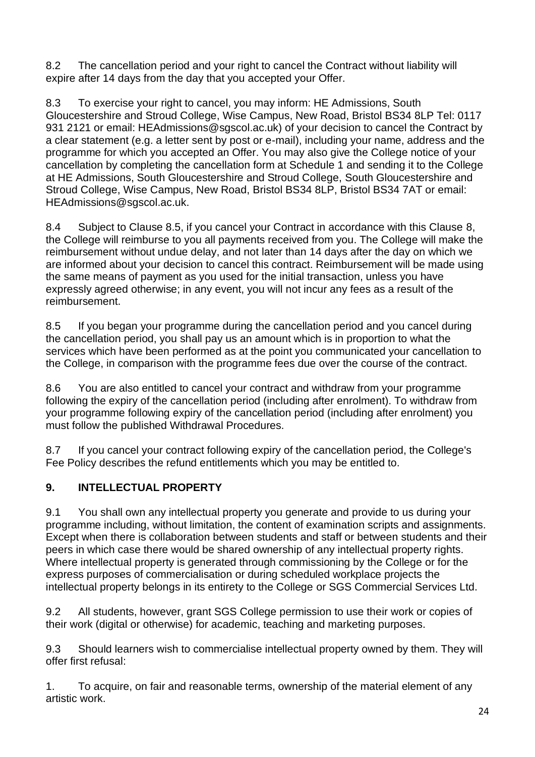8.2 The cancellation period and your right to cancel the Contract without liability will expire after 14 days from the day that you accepted your Offer.

8.3 To exercise your right to cancel, you may inform: HE Admissions, South Gloucestershire and Stroud College, Wise Campus, New Road, Bristol BS34 8LP Tel: 0117 931 2121 or email: HEAdmissions@sgscol.ac.uk) of your decision to cancel the Contract by a clear statement (e.g. a letter sent by post or e-mail), including your name, address and the programme for which you accepted an Offer. You may also give the College notice of your cancellation by completing the cancellation form at Schedule 1 and sending it to the College at HE Admissions, South Gloucestershire and Stroud College, South Gloucestershire and Stroud College, Wise Campus, New Road, Bristol BS34 8LP, Bristol BS34 7AT or email: HEAdmissions@sgscol.ac.uk.

8.4 Subject to Clause 8.5, if you cancel your Contract in accordance with this Clause 8, the College will reimburse to you all payments received from you. The College will make the reimbursement without undue delay, and not later than 14 days after the day on which we are informed about your decision to cancel this contract. Reimbursement will be made using the same means of payment as you used for the initial transaction, unless you have expressly agreed otherwise; in any event, you will not incur any fees as a result of the reimbursement.

8.5 If you began your programme during the cancellation period and you cancel during the cancellation period, you shall pay us an amount which is in proportion to what the services which have been performed as at the point you communicated your cancellation to the College, in comparison with the programme fees due over the course of the contract.

8.6 You are also entitled to cancel your contract and withdraw from your programme following the expiry of the cancellation period (including after enrolment). To withdraw from your programme following expiry of the cancellation period (including after enrolment) you must follow the published Withdrawal Procedures.

8.7 If you cancel your contract following expiry of the cancellation period, the College's Fee Policy describes the refund entitlements which you may be entitled to.

# **9. INTELLECTUAL PROPERTY**

9.1 You shall own any intellectual property you generate and provide to us during your programme including, without limitation, the content of examination scripts and assignments. Except when there is collaboration between students and staff or between students and their peers in which case there would be shared ownership of any intellectual property rights. Where intellectual property is generated through commissioning by the College or for the express purposes of commercialisation or during scheduled workplace projects the intellectual property belongs in its entirety to the College or SGS Commercial Services Ltd.

9.2 All students, however, grant SGS College permission to use their work or copies of their work (digital or otherwise) for academic, teaching and marketing purposes.

9.3 Should learners wish to commercialise intellectual property owned by them. They will offer first refusal:

1. To acquire, on fair and reasonable terms, ownership of the material element of any artistic work.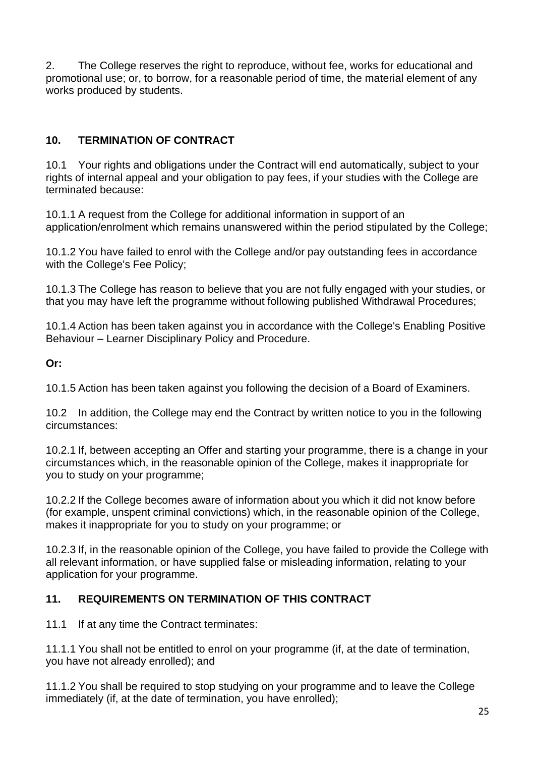2. The College reserves the right to reproduce, without fee, works for educational and promotional use; or, to borrow, for a reasonable period of time, the material element of any works produced by students.

# **10. TERMINATION OF CONTRACT**

10.1 Your rights and obligations under the Contract will end automatically, subject to your rights of internal appeal and your obligation to pay fees, if your studies with the College are terminated because:

10.1.1 A request from the College for additional information in support of an application/enrolment which remains unanswered within the period stipulated by the College;

10.1.2 You have failed to enrol with the College and/or pay outstanding fees in accordance with the College's Fee Policy;

10.1.3 The College has reason to believe that you are not fully engaged with your studies, or that you may have left the programme without following published Withdrawal Procedures;

10.1.4 Action has been taken against you in accordance with the College's Enabling Positive Behaviour – Learner Disciplinary Policy and Procedure.

**Or:**

10.1.5 Action has been taken against you following the decision of a Board of Examiners.

10.2 In addition, the College may end the Contract by written notice to you in the following circumstances:

10.2.1 If, between accepting an Offer and starting your programme, there is a change in your circumstances which, in the reasonable opinion of the College, makes it inappropriate for you to study on your programme;

10.2.2 If the College becomes aware of information about you which it did not know before (for example, unspent criminal convictions) which, in the reasonable opinion of the College, makes it inappropriate for you to study on your programme; or

10.2.3 If, in the reasonable opinion of the College, you have failed to provide the College with all relevant information, or have supplied false or misleading information, relating to your application for your programme.

### **11. REQUIREMENTS ON TERMINATION OF THIS CONTRACT**

11.1 If at any time the Contract terminates:

11.1.1 You shall not be entitled to enrol on your programme (if, at the date of termination, you have not already enrolled); and

11.1.2 You shall be required to stop studying on your programme and to leave the College immediately (if, at the date of termination, you have enrolled);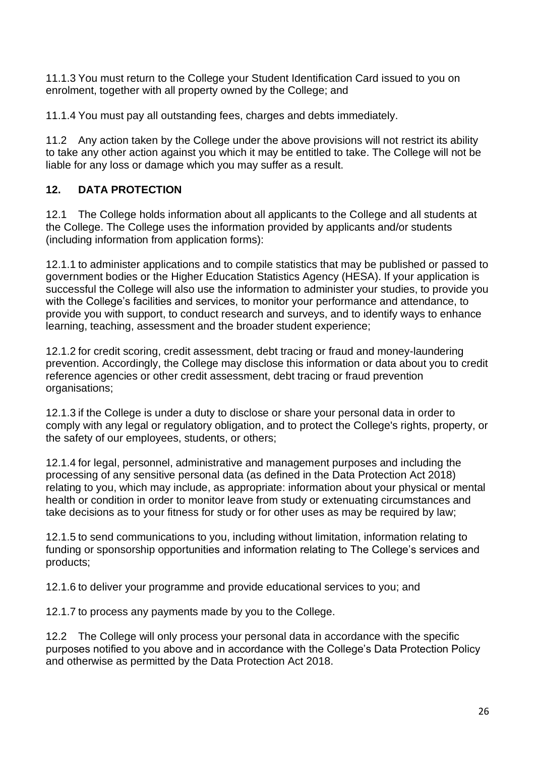11.1.3 You must return to the College your Student Identification Card issued to you on enrolment, together with all property owned by the College; and

11.1.4 You must pay all outstanding fees, charges and debts immediately.

11.2 Any action taken by the College under the above provisions will not restrict its ability to take any other action against you which it may be entitled to take. The College will not be liable for any loss or damage which you may suffer as a result.

### **12. DATA PROTECTION**

12.1 The College holds information about all applicants to the College and all students at the College. The College uses the information provided by applicants and/or students (including information from application forms):

12.1.1 to administer applications and to compile statistics that may be published or passed to government bodies or the Higher Education Statistics Agency (HESA). If your application is successful the College will also use the information to administer your studies, to provide you with the College's facilities and services, to monitor your performance and attendance, to provide you with support, to conduct research and surveys, and to identify ways to enhance learning, teaching, assessment and the broader student experience;

12.1.2 for credit scoring, credit assessment, debt tracing or fraud and money-laundering prevention. Accordingly, the College may disclose this information or data about you to credit reference agencies or other credit assessment, debt tracing or fraud prevention organisations;

12.1.3 if the College is under a duty to disclose or share your personal data in order to comply with any legal or regulatory obligation, and to protect the College's rights, property, or the safety of our employees, students, or others;

12.1.4 for legal, personnel, administrative and management purposes and including the processing of any sensitive personal data (as defined in the Data Protection Act 2018) relating to you, which may include, as appropriate: information about your physical or mental health or condition in order to monitor leave from study or extenuating circumstances and take decisions as to your fitness for study or for other uses as may be required by law;

12.1.5 to send communications to you, including without limitation, information relating to funding or sponsorship opportunities and information relating to The College's services and products;

12.1.6 to deliver your programme and provide educational services to you; and

12.1.7 to process any payments made by you to the College.

12.2 The College will only process your personal data in accordance with the specific purposes notified to you above and in accordance with the College's Data Protection Policy and otherwise as permitted by the Data Protection Act 2018.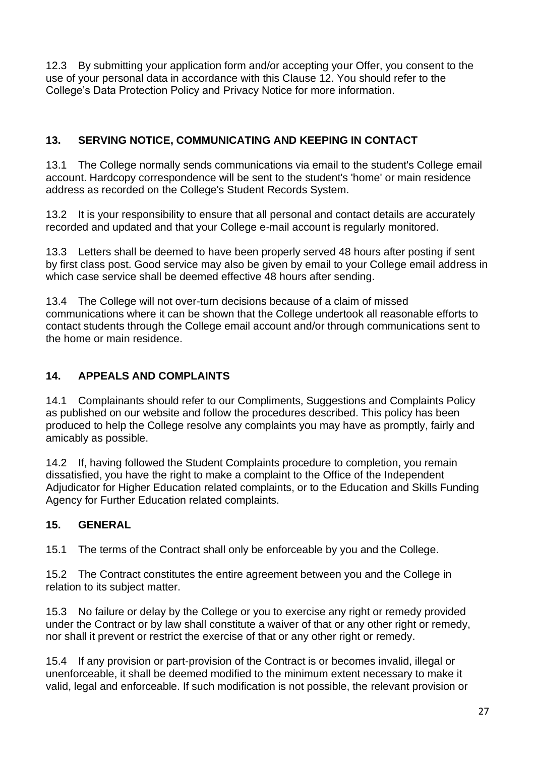12.3 By submitting your application form and/or accepting your Offer, you consent to the use of your personal data in accordance with this Clause 12. You should refer to the College's Data Protection Policy and Privacy Notice for more information.

# **13. SERVING NOTICE, COMMUNICATING AND KEEPING IN CONTACT**

13.1 The College normally sends communications via email to the student's College email account. Hardcopy correspondence will be sent to the student's 'home' or main residence address as recorded on the College's Student Records System.

13.2 It is your responsibility to ensure that all personal and contact details are accurately recorded and updated and that your College e-mail account is regularly monitored.

13.3 Letters shall be deemed to have been properly served 48 hours after posting if sent by first class post. Good service may also be given by email to your College email address in which case service shall be deemed effective 48 hours after sending.

13.4 The College will not over-turn decisions because of a claim of missed communications where it can be shown that the College undertook all reasonable efforts to contact students through the College email account and/or through communications sent to the home or main residence.

# **14. APPEALS AND COMPLAINTS**

14.1 Complainants should refer to our Compliments, Suggestions and Complaints Policy as published on our website and follow the procedures described. This policy has been produced to help the College resolve any complaints you may have as promptly, fairly and amicably as possible.

14.2 If, having followed the Student Complaints procedure to completion, you remain dissatisfied, you have the right to make a complaint to the Office of the Independent Adjudicator for Higher Education related complaints, or to the Education and Skills Funding Agency for Further Education related complaints.

### **15. GENERAL**

15.1 The terms of the Contract shall only be enforceable by you and the College.

15.2 The Contract constitutes the entire agreement between you and the College in relation to its subject matter.

15.3 No failure or delay by the College or you to exercise any right or remedy provided under the Contract or by law shall constitute a waiver of that or any other right or remedy, nor shall it prevent or restrict the exercise of that or any other right or remedy.

15.4 If any provision or part-provision of the Contract is or becomes invalid, illegal or unenforceable, it shall be deemed modified to the minimum extent necessary to make it valid, legal and enforceable. If such modification is not possible, the relevant provision or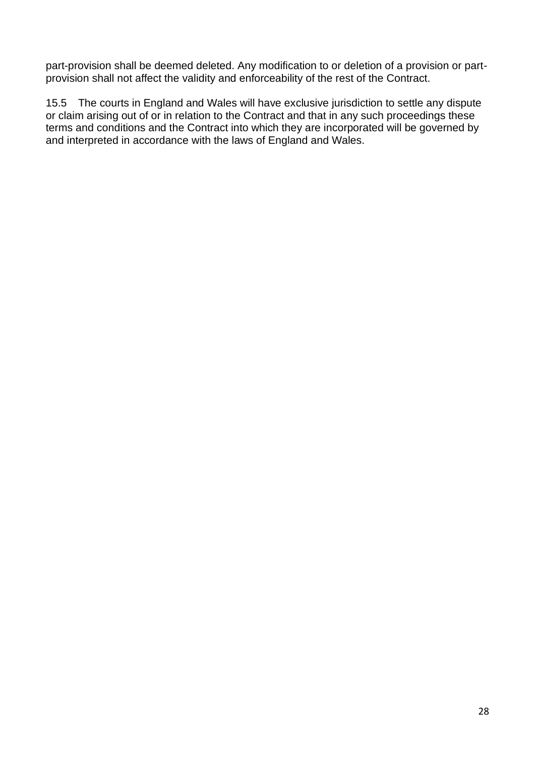part-provision shall be deemed deleted. Any modification to or deletion of a provision or partprovision shall not affect the validity and enforceability of the rest of the Contract.

15.5 The courts in England and Wales will have exclusive jurisdiction to settle any dispute or claim arising out of or in relation to the Contract and that in any such proceedings these terms and conditions and the Contract into which they are incorporated will be governed by and interpreted in accordance with the laws of England and Wales.